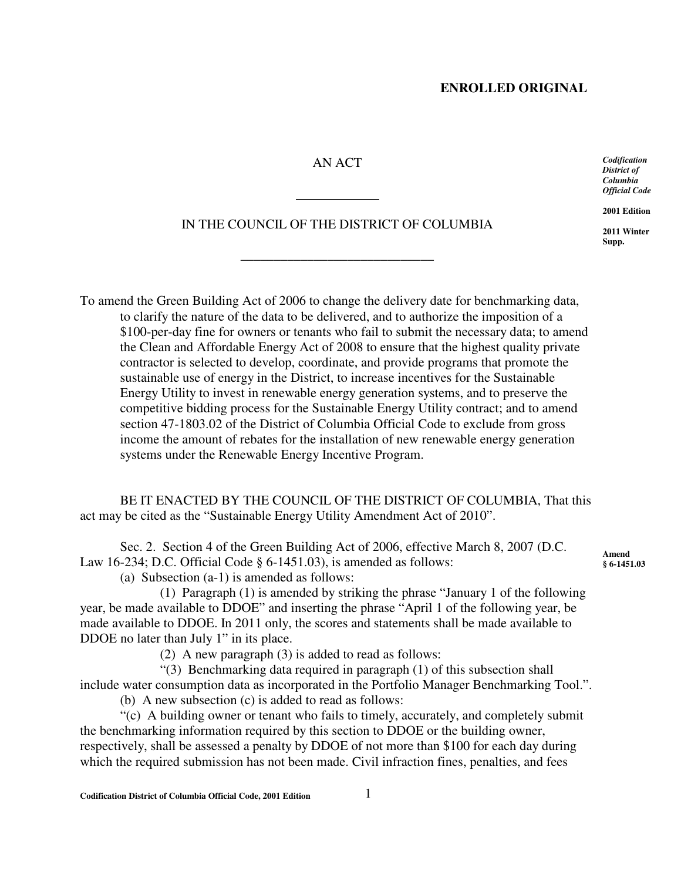### **ENROLLED ORIGINAL**

### AN ACT

*Codification District of Columbia Official Code*

**2001 Edition**

**2011 Winter Supp.**

# IN THE COUNCIL OF THE DISTRICT OF COLUMBIA

\_\_\_\_\_\_\_\_\_\_\_\_\_\_\_\_\_\_\_\_\_\_\_\_\_\_\_\_\_

 $\overline{a}$ 

To amend the Green Building Act of 2006 to change the delivery date for benchmarking data, to clarify the nature of the data to be delivered, and to authorize the imposition of a \$100-per-day fine for owners or tenants who fail to submit the necessary data; to amend the Clean and Affordable Energy Act of 2008 to ensure that the highest quality private contractor is selected to develop, coordinate, and provide programs that promote the sustainable use of energy in the District, to increase incentives for the Sustainable Energy Utility to invest in renewable energy generation systems, and to preserve the competitive bidding process for the Sustainable Energy Utility contract; and to amend section 47-1803.02 of the District of Columbia Official Code to exclude from gross income the amount of rebates for the installation of new renewable energy generation systems under the Renewable Energy Incentive Program.

BE IT ENACTED BY THE COUNCIL OF THE DISTRICT OF COLUMBIA, That this act may be cited as the "Sustainable Energy Utility Amendment Act of 2010".

Sec. 2. Section 4 of the Green Building Act of 2006, effective March 8, 2007 (D.C. Law 16-234; D.C. Official Code § 6-1451.03), is amended as follows:

(a) Subsection (a-1) is amended as follows:

(1) Paragraph (1) is amended by striking the phrase "January 1 of the following year, be made available to DDOE" and inserting the phrase "April 1 of the following year, be made available to DDOE. In 2011 only, the scores and statements shall be made available to DDOE no later than July 1" in its place.

(2) A new paragraph (3) is added to read as follows:

"(3) Benchmarking data required in paragraph (1) of this subsection shall include water consumption data as incorporated in the Portfolio Manager Benchmarking Tool.".

(b) A new subsection (c) is added to read as follows:

"(c) A building owner or tenant who fails to timely, accurately, and completely submit the benchmarking information required by this section to DDOE or the building owner, respectively, shall be assessed a penalty by DDOE of not more than \$100 for each day during which the required submission has not been made. Civil infraction fines, penalties, and fees

**Amend § 6-1451.03**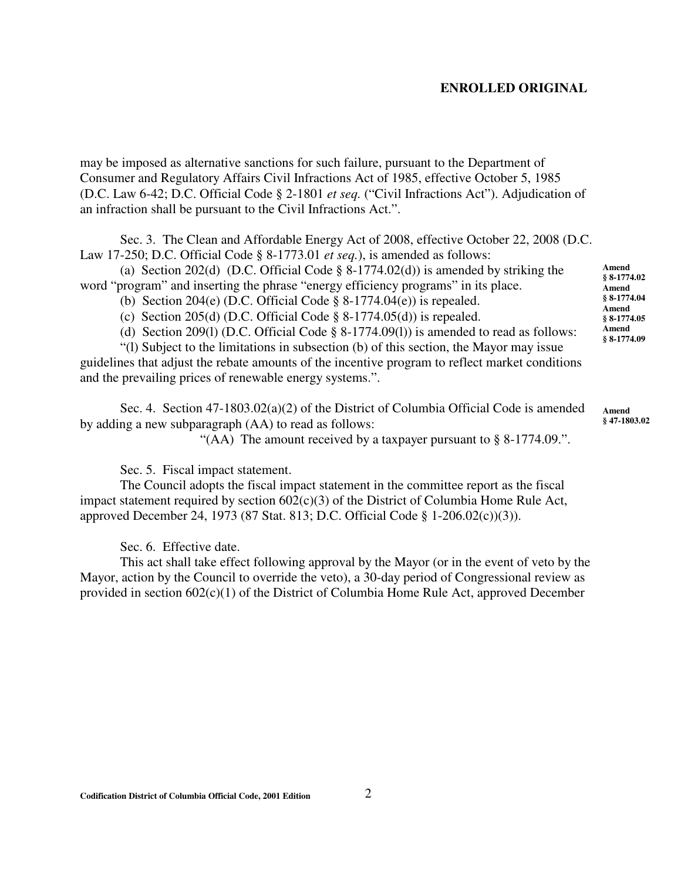#### **ENROLLED ORIGINAL**

may be imposed as alternative sanctions for such failure, pursuant to the Department of Consumer and Regulatory Affairs Civil Infractions Act of 1985, effective October 5, 1985 (D.C. Law 6-42; D.C. Official Code § 2-1801 *et seq.* ("Civil Infractions Act"). Adjudication of an infraction shall be pursuant to the Civil Infractions Act.".

Sec. 3. The Clean and Affordable Energy Act of 2008, effective October 22, 2008 (D.C. Law 17-250; D.C. Official Code § 8-1773.01 *et seq.*), is amended as follows:

(a) Section 202(d) (D.C. Official Code  $\S$  8-1774.02(d)) is amended by striking the word "program" and inserting the phrase "energy efficiency programs" in its place.

- (b) Section 204(e) (D.C. Official Code  $\S$  8-1774.04(e)) is repealed.
- (c) Section 205(d) (D.C. Official Code  $\S$  8-1774.05(d)) is repealed.
- (d) Section 209(l) (D.C. Official Code § 8-1774.09(l)) is amended to read as follows:

"(l) Subject to the limitations in subsection (b) of this section, the Mayor may issue guidelines that adjust the rebate amounts of the incentive program to reflect market conditions and the prevailing prices of renewable energy systems.".

Sec. 4. Section 47-1803.02(a)(2) of the District of Columbia Official Code is amended by adding a new subparagraph (AA) to read as follows: **Amend**

"(AA) The amount received by a taxpayer pursuant to § 8-1774.09.".

Sec. 5. Fiscal impact statement.

The Council adopts the fiscal impact statement in the committee report as the fiscal impact statement required by section 602(c)(3) of the District of Columbia Home Rule Act, approved December 24, 1973 (87 Stat. 813; D.C. Official Code § 1-206.02(c))(3)).

Sec. 6. Effective date.

This act shall take effect following approval by the Mayor (or in the event of veto by the Mayor, action by the Council to override the veto), a 30-day period of Congressional review as provided in section 602(c)(1) of the District of Columbia Home Rule Act, approved December

**Amend § 8-1774.02 Amend § 8-1774.04 Amend § 8-1774.05 Amend § 8-1774.09**